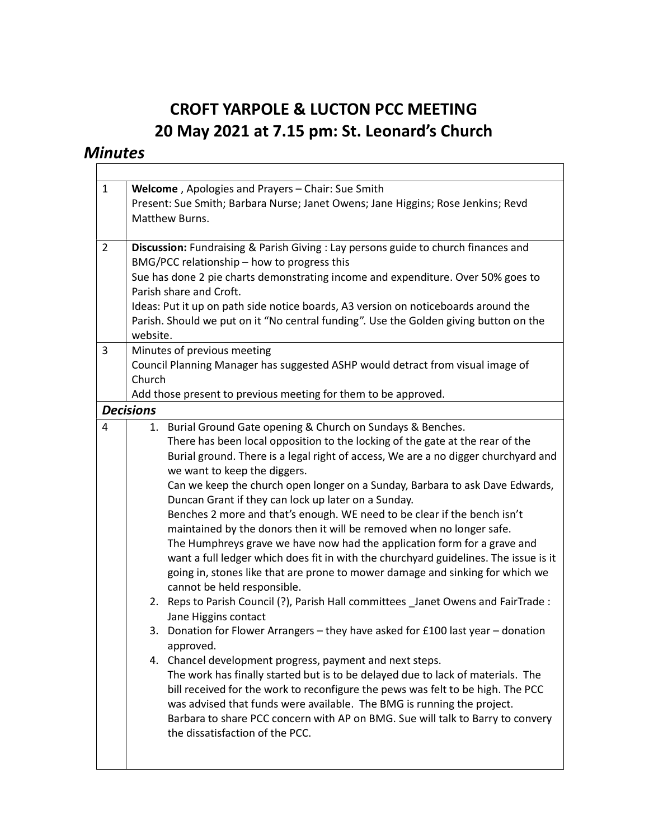## CROFT YARPOLE & LUCTON PCC MEETING 20 May 2021 at 7.15 pm: St. Leonard's Church

٦

## **Minutes**

| $\mathbf{1}$ | Welcome, Apologies and Prayers - Chair: Sue Smith<br>Present: Sue Smith; Barbara Nurse; Janet Owens; Jane Higgins; Rose Jenkins; Revd<br>Matthew Burns.                                                                                                                                                                                                                                                                                                                                                                                                                                                                                                                                                                                                                                                                                                                                                                                                                                                                                                                                                                                                                                                                                                                                                                                                                                                                                                                                             |  |  |  |  |
|--------------|-----------------------------------------------------------------------------------------------------------------------------------------------------------------------------------------------------------------------------------------------------------------------------------------------------------------------------------------------------------------------------------------------------------------------------------------------------------------------------------------------------------------------------------------------------------------------------------------------------------------------------------------------------------------------------------------------------------------------------------------------------------------------------------------------------------------------------------------------------------------------------------------------------------------------------------------------------------------------------------------------------------------------------------------------------------------------------------------------------------------------------------------------------------------------------------------------------------------------------------------------------------------------------------------------------------------------------------------------------------------------------------------------------------------------------------------------------------------------------------------------------|--|--|--|--|
| 2            | Discussion: Fundraising & Parish Giving : Lay persons guide to church finances and<br>BMG/PCC relationship - how to progress this<br>Sue has done 2 pie charts demonstrating income and expenditure. Over 50% goes to<br>Parish share and Croft.<br>Ideas: Put it up on path side notice boards, A3 version on noticeboards around the<br>Parish. Should we put on it "No central funding". Use the Golden giving button on the<br>website.                                                                                                                                                                                                                                                                                                                                                                                                                                                                                                                                                                                                                                                                                                                                                                                                                                                                                                                                                                                                                                                         |  |  |  |  |
| 3            | Minutes of previous meeting<br>Council Planning Manager has suggested ASHP would detract from visual image of<br>Church<br>Add those present to previous meeting for them to be approved.                                                                                                                                                                                                                                                                                                                                                                                                                                                                                                                                                                                                                                                                                                                                                                                                                                                                                                                                                                                                                                                                                                                                                                                                                                                                                                           |  |  |  |  |
|              | <b>Decisions</b>                                                                                                                                                                                                                                                                                                                                                                                                                                                                                                                                                                                                                                                                                                                                                                                                                                                                                                                                                                                                                                                                                                                                                                                                                                                                                                                                                                                                                                                                                    |  |  |  |  |
| 4            | 1. Burial Ground Gate opening & Church on Sundays & Benches.<br>There has been local opposition to the locking of the gate at the rear of the<br>Burial ground. There is a legal right of access, We are a no digger churchyard and<br>we want to keep the diggers.<br>Can we keep the church open longer on a Sunday, Barbara to ask Dave Edwards,<br>Duncan Grant if they can lock up later on a Sunday.<br>Benches 2 more and that's enough. WE need to be clear if the bench isn't<br>maintained by the donors then it will be removed when no longer safe.<br>The Humphreys grave we have now had the application form for a grave and<br>want a full ledger which does fit in with the churchyard guidelines. The issue is it<br>going in, stones like that are prone to mower damage and sinking for which we<br>cannot be held responsible.<br>2. Reps to Parish Council (?), Parish Hall committees _Janet Owens and FairTrade :<br>Jane Higgins contact<br>3. Donation for Flower Arrangers - they have asked for £100 last year - donation<br>approved.<br>4. Chancel development progress, payment and next steps.<br>The work has finally started but is to be delayed due to lack of materials. The<br>bill received for the work to reconfigure the pews was felt to be high. The PCC<br>was advised that funds were available. The BMG is running the project.<br>Barbara to share PCC concern with AP on BMG. Sue will talk to Barry to convery<br>the dissatisfaction of the PCC. |  |  |  |  |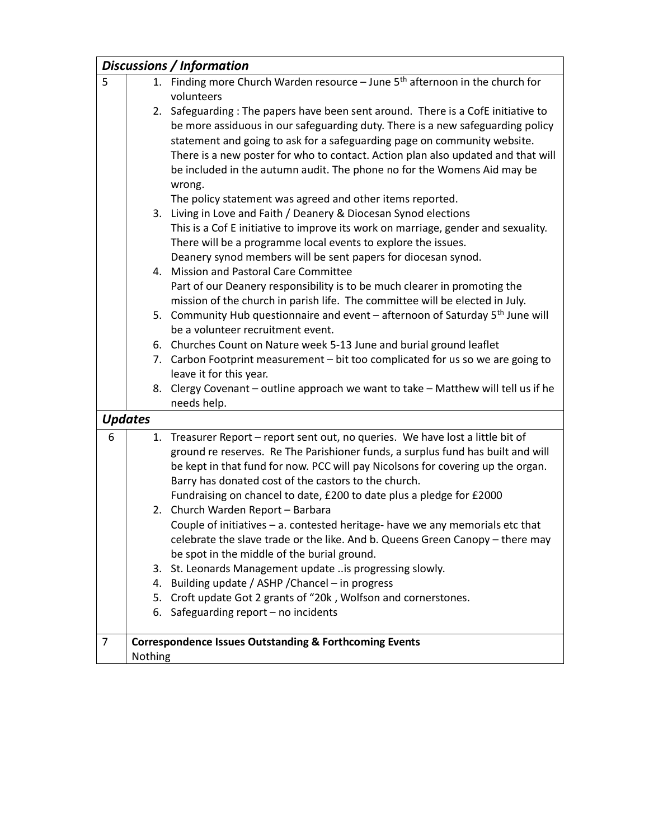|                | Discussions / Information                                         |                                                                                                                   |  |  |  |  |
|----------------|-------------------------------------------------------------------|-------------------------------------------------------------------------------------------------------------------|--|--|--|--|
| 5              |                                                                   | 1. Finding more Church Warden resource - June 5 <sup>th</sup> afternoon in the church for                         |  |  |  |  |
|                |                                                                   | volunteers                                                                                                        |  |  |  |  |
|                |                                                                   | 2. Safeguarding: The papers have been sent around. There is a CofE initiative to                                  |  |  |  |  |
|                |                                                                   | be more assiduous in our safeguarding duty. There is a new safeguarding policy                                    |  |  |  |  |
|                |                                                                   | statement and going to ask for a safeguarding page on community website.                                          |  |  |  |  |
|                |                                                                   | There is a new poster for who to contact. Action plan also updated and that will                                  |  |  |  |  |
|                |                                                                   | be included in the autumn audit. The phone no for the Womens Aid may be                                           |  |  |  |  |
|                |                                                                   | wrong.                                                                                                            |  |  |  |  |
|                |                                                                   | The policy statement was agreed and other items reported.                                                         |  |  |  |  |
|                |                                                                   | 3. Living in Love and Faith / Deanery & Diocesan Synod elections                                                  |  |  |  |  |
|                |                                                                   | This is a Cof E initiative to improve its work on marriage, gender and sexuality.                                 |  |  |  |  |
|                |                                                                   | There will be a programme local events to explore the issues.                                                     |  |  |  |  |
|                |                                                                   | Deanery synod members will be sent papers for diocesan synod.                                                     |  |  |  |  |
|                |                                                                   | 4. Mission and Pastoral Care Committee                                                                            |  |  |  |  |
|                |                                                                   | Part of our Deanery responsibility is to be much clearer in promoting the                                         |  |  |  |  |
|                |                                                                   | mission of the church in parish life. The committee will be elected in July.                                      |  |  |  |  |
|                |                                                                   | 5. Community Hub questionnaire and event – afternoon of Saturday 5 <sup>th</sup> June will                        |  |  |  |  |
|                |                                                                   | be a volunteer recruitment event.                                                                                 |  |  |  |  |
|                |                                                                   | 6. Churches Count on Nature week 5-13 June and burial ground leaflet                                              |  |  |  |  |
|                |                                                                   | 7. Carbon Footprint measurement - bit too complicated for us so we are going to                                   |  |  |  |  |
|                |                                                                   | leave it for this year.                                                                                           |  |  |  |  |
|                |                                                                   | 8. Clergy Covenant - outline approach we want to take - Matthew will tell us if he                                |  |  |  |  |
|                |                                                                   | needs help.                                                                                                       |  |  |  |  |
|                | <b>Updates</b>                                                    |                                                                                                                   |  |  |  |  |
| 6              |                                                                   | 1. Treasurer Report - report sent out, no queries. We have lost a little bit of                                   |  |  |  |  |
|                |                                                                   | ground re reserves. Re The Parishioner funds, a surplus fund has built and will                                   |  |  |  |  |
|                |                                                                   | be kept in that fund for now. PCC will pay Nicolsons for covering up the organ.                                   |  |  |  |  |
|                |                                                                   | Barry has donated cost of the castors to the church.                                                              |  |  |  |  |
|                |                                                                   | Fundraising on chancel to date, £200 to date plus a pledge for £2000                                              |  |  |  |  |
|                |                                                                   | 2. Church Warden Report - Barbara                                                                                 |  |  |  |  |
|                |                                                                   | Couple of initiatives - a. contested heritage- have we any memorials etc that                                     |  |  |  |  |
|                |                                                                   | celebrate the slave trade or the like. And b. Queens Green Canopy - there may                                     |  |  |  |  |
|                |                                                                   | be spot in the middle of the burial ground.                                                                       |  |  |  |  |
|                | 3.                                                                | St. Leonards Management update is progressing slowly.                                                             |  |  |  |  |
|                | 5.                                                                | 4. Building update / ASHP / Chancel - in progress<br>Croft update Got 2 grants of "20k, Wolfson and cornerstones. |  |  |  |  |
|                |                                                                   |                                                                                                                   |  |  |  |  |
|                | 6.                                                                | Safeguarding report - no incidents                                                                                |  |  |  |  |
| $\overline{7}$ | <b>Correspondence Issues Outstanding &amp; Forthcoming Events</b> |                                                                                                                   |  |  |  |  |
|                | Nothing                                                           |                                                                                                                   |  |  |  |  |